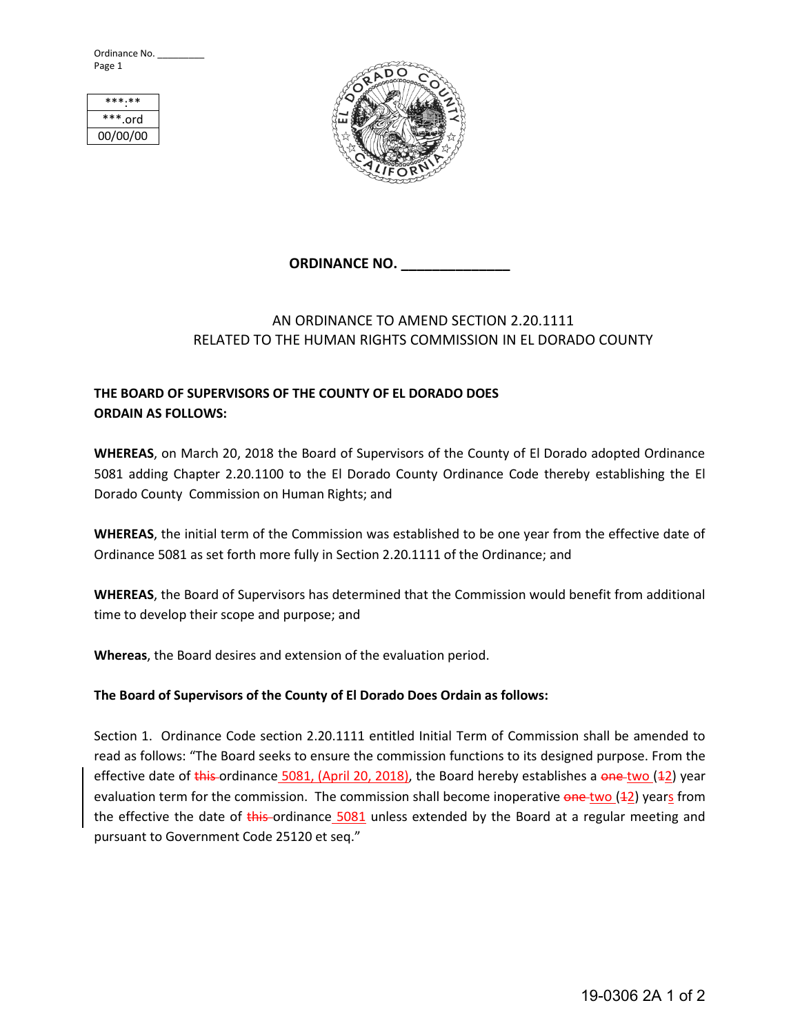Ordinance No. \_\_\_\_\_\_\_\_\_ Page 1



## **ORDINANCE NO. \_\_\_\_\_\_\_\_\_\_\_\_\_\_**

## AN ORDINANCE TO AMEND SECTION 2.20.1111 RELATED TO THE HUMAN RIGHTS COMMISSION IN EL DORADO COUNTY

## **THE BOARD OF SUPERVISORS OF THE COUNTY OF EL DORADO DOES ORDAIN AS FOLLOWS:**

**WHEREAS**, on March 20, 2018 the Board of Supervisors of the County of El Dorado adopted Ordinance 5081 adding Chapter 2.20.1100 to the El Dorado County Ordinance Code thereby establishing the El Dorado County Commission on Human Rights; and

**WHEREAS**, the initial term of the Commission was established to be one year from the effective date of Ordinance 5081 as set forth more fully in Section 2.20.1111 of the Ordinance; and

**WHEREAS**, the Board of Supervisors has determined that the Commission would benefit from additional time to develop their scope and purpose; and

**Whereas**, the Board desires and extension of the evaluation period.

## **The Board of Supervisors of the County of El Dorado Does Ordain as follows:**

Section 1. Ordinance Code section 2.20.1111 entitled Initial Term of Commission shall be amended to read as follows: "The Board seeks to ensure the commission functions to its designed purpose. From the effective date of this ordinance 5081, (April 20, 2018), the Board hereby establishes a one-two ( $\pm 2$ ) year evaluation term for the commission. The commission shall become inoperative one two (42) years from the effective the date of  $\frac{1}{10}$  this ordinance  $\frac{5081}{100}$  unless extended by the Board at a regular meeting and pursuant to Government Code 25120 et seq."